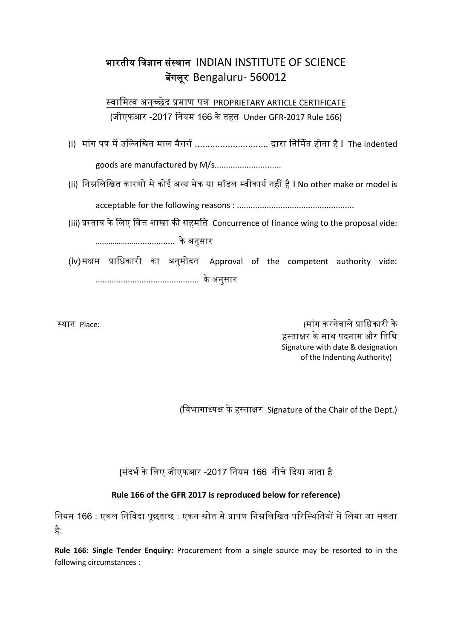## भारतीय विज्ञान संस्थान INDIAN INSTITUTE OF SCIENCE बेंगलूर Bengaluru- 560012

स्वामित्व अनुच्छेद प्रमाण पत्र PROPRIETARY ARTICLE CERTIFICATE (जीएफआर -2017 वनयि 166 के तहत Under GFR-2017 Rule 166)

- (i) मांग पत्र में उल्लिखित माल मैसर्स ............................... द्वारा निर्मित होता है I The indented goods are manufactured by M/s.............................
- (ii) निम्नलिखित कारणों से कोई अन्य मेक या मॉडल स्वीकार्य नहीं है I No other make or model is

acceptable for the following reasons : ...................................................

(iii) प्रस्ताव के लिए वित्त शाखा की सहमति Concurrence of finance wing to the proposal vide:

……………….................. के अनुसार

(iv)सक्षम प्राधिकारी का अनुमोदन Approval of the competent authority vide: ............................................. के अनुसार

स्थान Place: (िांग करनेिाले प्राविकारी के हस्ताक्षर के साथ पदनाम और तिथि Signature with date & designation of the Indenting Authority)

(विभागाध्यक्ष के हस्ताक्षर Signature of the Chair of the Dept.)

**(**संदभस के वलए जीएफआर -2017 वनयि 166 नीचे ददया जाता है

## **Rule 166 of the GFR 2017 is reproduced below for reference)**

नियम 166 : एकल निविदा पूछताछ : एकन स्रोत से प्रापण निम्नलिखित परिस्थितियों में लिया जा सकता है:

**Rule 166: Single Tender Enquiry:** Procurement from a single source may be resorted to in the following circumstances :